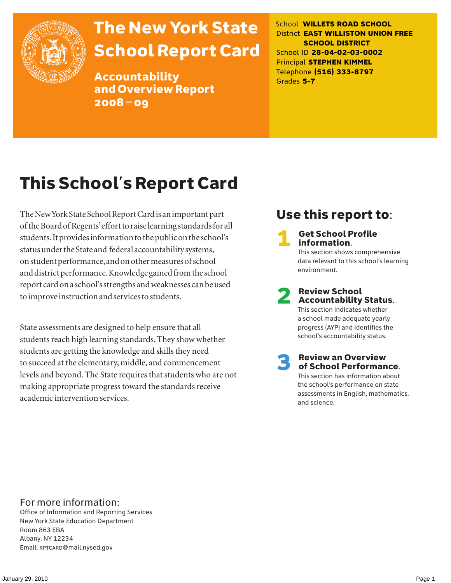

# The New York State School Report Card

Accountability and Overview Report 2008–09

School **WILLETS ROAD SCHOOL** District **EAST WILLISTON UNION FREE SCHOOL DISTRICT** School ID **28-04-02-03-0002** Principal **STEPHEN KIMMEL** Telephone **(516) 333-8797** Grades **5-7**

# This School's Report Card

The New York State School Report Card is an important part of the Board of Regents' effort to raise learning standards for all students. It provides information to the public on the school's status under the State and federal accountability systems, on student performance, and on other measures of school and district performance. Knowledge gained from the school report card on a school's strengths and weaknesses can be used to improve instruction and services to students.

State assessments are designed to help ensure that all students reach high learning standards. They show whether students are getting the knowledge and skills they need to succeed at the elementary, middle, and commencement levels and beyond. The State requires that students who are not making appropriate progress toward the standards receive academic intervention services.

### Use this report to:

**Get School Profile** information. This section shows comprehensive data relevant to this school's learning environment.

# 2 Review School Accountability Status.

This section indicates whether a school made adequate yearly progress (AYP) and identifies the school's accountability status.

3 Review an Overview of School Performance. This section has information about

the school's performance on state assessments in English, mathematics, and science.

### For more information:

Office of Information and Reporting Services New York State Education Department Room 863 EBA Albany, NY 12234 Email: RPTCARD@mail.nysed.gov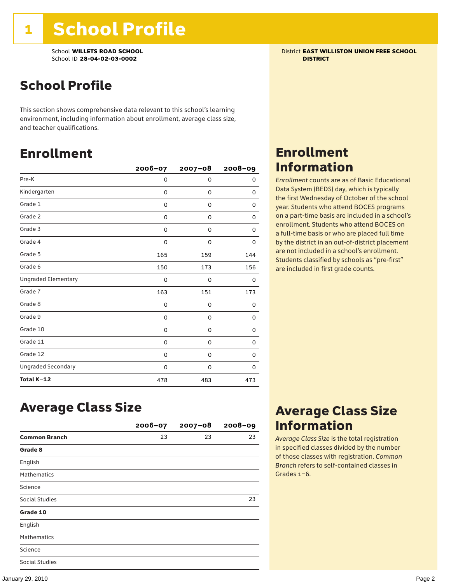School **WILLETS ROAD SCHOOL** District **EAST WILLISTON UNION FREE SCHOOL** School ID **28-04-02-03-0002 DISTRICT**

## School Profile

This section shows comprehensive data relevant to this school's learning environment, including information about enrollment, average class size, and teacher qualifications.

### Enrollment

|                            | 2006-07 | $2007 - 08$ | $2008 - 09$ |
|----------------------------|---------|-------------|-------------|
| Pre-K                      | 0       | 0           | 0           |
| Kindergarten               | 0       | 0           | 0           |
| Grade 1                    | 0       | 0           | 0           |
| Grade 2                    | 0       | 0           | 0           |
| Grade 3                    | 0       | 0           | 0           |
| Grade 4                    | 0       | 0           | 0           |
| Grade 5                    | 165     | 159         | 144         |
| Grade 6                    | 150     | 173         | 156         |
| <b>Ungraded Elementary</b> | 0       | 0           | 0           |
| Grade 7                    | 163     | 151         | 173         |
| Grade 8                    | 0       | 0           | 0           |
| Grade 9                    | 0       | 0           | 0           |
| Grade 10                   | 0       | 0           | 0           |
| Grade 11                   | 0       | 0           | 0           |
| Grade 12                   | 0       | 0           | 0           |
| <b>Ungraded Secondary</b>  | 0       | 0           | 0           |
| Total K-12                 | 478     | 483         | 473         |

### Enrollment Information

*Enrollment* counts are as of Basic Educational Data System (BEDS) day, which is typically the first Wednesday of October of the school year. Students who attend BOCES programs on a part-time basis are included in a school's enrollment. Students who attend BOCES on a full-time basis or who are placed full time by the district in an out-of-district placement are not included in a school's enrollment. Students classified by schools as "pre-first" are included in first grade counts.

### Average Class Size

|                       | $2006 - 07$ | $2007 - 08$ | $2008 - 09$ |
|-----------------------|-------------|-------------|-------------|
| <b>Common Branch</b>  | 23          | 23          | 23          |
| Grade 8               |             |             |             |
| English               |             |             |             |
| <b>Mathematics</b>    |             |             |             |
| Science               |             |             |             |
| <b>Social Studies</b> |             |             | 23          |
| Grade 10              |             |             |             |
| English               |             |             |             |
| <b>Mathematics</b>    |             |             |             |
| Science               |             |             |             |
| <b>Social Studies</b> |             |             |             |

### Average Class Size Information

*Average Class Size* is the total registration in specified classes divided by the number of those classes with registration. *Common Branch* refers to self-contained classes in Grades 1–6.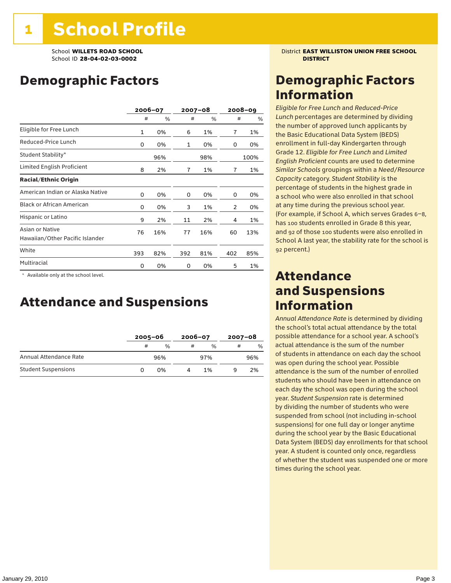## Demographic Factors

|                                                    |     | 2006-07 |              | 2007-08 |                | $2008 - 09$ |
|----------------------------------------------------|-----|---------|--------------|---------|----------------|-------------|
|                                                    | #   | %       | #            | %       | #              | %           |
| Eligible for Free Lunch                            | 1   | 0%      | 6            | 1%      | $\overline{1}$ | 1%          |
| Reduced-Price Lunch                                | 0   | 0%      | $\mathbf{1}$ | 0%      | 0              | 0%          |
| Student Stability*                                 |     | 96%     |              | 98%     |                | 100%        |
| Limited English Proficient                         | 8   | 2%      | 7            | 1%      | 7              | 1%          |
| <b>Racial/Ethnic Origin</b>                        |     |         |              |         |                |             |
| American Indian or Alaska Native                   | 0   | 0%      | 0            | 0%      | 0              | 0%          |
| <b>Black or African American</b>                   | 0   | 0%      | 3            | 1%      | 2              | 0%          |
| Hispanic or Latino                                 | 9   | 2%      | 11           | 2%      | 4              | 1%          |
| Asian or Native<br>Hawaiian/Other Pacific Islander | 76  | 16%     | 77           | 16%     | 60             | 13%         |
| White                                              | 393 | 82%     | 392          | 81%     | 402            | 85%         |
| Multiracial                                        | 0   | 0%      | 0            | 0%      | 5              | 1%          |

\* Available only at the school level.

### Attendance and Suspensions

|                            |   | $2005 - 06$   |   | $2006 - 07$   |   | $2007 - 08$ |  |
|----------------------------|---|---------------|---|---------------|---|-------------|--|
|                            | # | $\frac{0}{0}$ | # | $\frac{0}{6}$ | # | $\%$        |  |
| Annual Attendance Rate     |   | 96%           |   | 97%           |   | 96%         |  |
| <b>Student Suspensions</b> |   | በ%            |   | 1%            |   | 2%          |  |

School **WILLETS ROAD SCHOOL** District **EAST WILLISTON UNION FREE SCHOOL**

### Demographic Factors Information

*Eligible for Free Lunch* and *Reduced*-*Price Lunch* percentages are determined by dividing the number of approved lunch applicants by the Basic Educational Data System (BEDS) enrollment in full-day Kindergarten through Grade 12. *Eligible for Free Lunch* and *Limited English Proficient* counts are used to determine *Similar Schools* groupings within a *Need*/*Resource Capacity* category. *Student Stability* is the percentage of students in the highest grade in a school who were also enrolled in that school at any time during the previous school year. (For example, if School A, which serves Grades 6–8, has 100 students enrolled in Grade 8 this year, and 92 of those 100 students were also enrolled in School A last year, the stability rate for the school is 92 percent.)

### Attendance and Suspensions Information

*Annual Attendance Rate* is determined by dividing the school's total actual attendance by the total possible attendance for a school year. A school's actual attendance is the sum of the number of students in attendance on each day the school was open during the school year. Possible attendance is the sum of the number of enrolled students who should have been in attendance on each day the school was open during the school year. *Student Suspension* rate is determined by dividing the number of students who were suspended from school (not including in-school suspensions) for one full day or longer anytime during the school year by the Basic Educational Data System (BEDS) day enrollments for that school year. A student is counted only once, regardless of whether the student was suspended one or more times during the school year.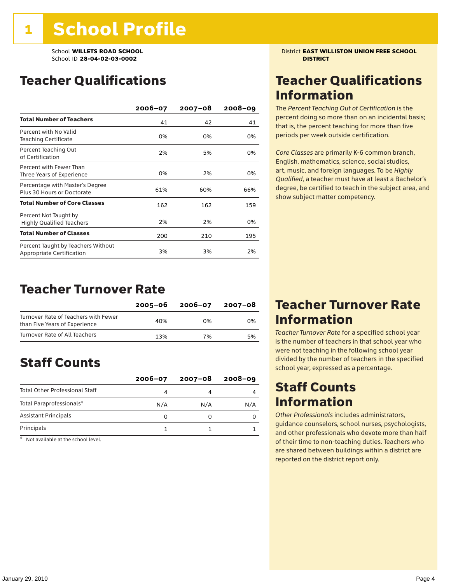### Teacher Qualifications

|                                                                 | $2006 - 07$ | $2007 - 08$ | $2008 - 09$ |
|-----------------------------------------------------------------|-------------|-------------|-------------|
| <b>Total Number of Teachers</b>                                 | 41          | 42          | 41          |
| Percent with No Valid<br><b>Teaching Certificate</b>            | 0%          | 0%          | 0%          |
| Percent Teaching Out<br>of Certification                        | 2%          | 5%          | 0%          |
| Percent with Fewer Than<br>Three Years of Experience            | 0%          | 2%          | 0%          |
| Percentage with Master's Degree<br>Plus 30 Hours or Doctorate   | 61%         | 60%         | 66%         |
| <b>Total Number of Core Classes</b>                             | 162         | 162         | 159         |
| Percent Not Taught by<br><b>Highly Qualified Teachers</b>       | 2%          | 2%          | 0%          |
| <b>Total Number of Classes</b>                                  | 200         | 210         | 195         |
| Percent Taught by Teachers Without<br>Appropriate Certification | 3%          | 3%          | 2%          |

### Teacher Turnover Rate

|                                                                       | 2005-06 | 2006-07 | 2007-08 |
|-----------------------------------------------------------------------|---------|---------|---------|
| Turnover Rate of Teachers with Fewer<br>than Five Years of Experience | 40%     | በ%      | 0%      |
| Turnover Rate of All Teachers                                         | 13%     | 7%      | 5%      |

### Staff Counts

|                                       | $2006 - 07$ | $2007 - 08$ | $2008 - 09$ |
|---------------------------------------|-------------|-------------|-------------|
| <b>Total Other Professional Staff</b> | 4           |             |             |
| Total Paraprofessionals*              | N/A         | N/A         | N/A         |
| <b>Assistant Principals</b>           |             |             |             |
| Principals                            |             |             |             |

\* Not available at the school level.

School **WILLETS ROAD SCHOOL** District **EAST WILLISTON UNION FREE SCHOOL**

### Teacher Qualifications Information

The *Percent Teaching Out of Certification* is the percent doing so more than on an incidental basis; that is, the percent teaching for more than five periods per week outside certification.

*Core Classes* are primarily K-6 common branch, English, mathematics, science, social studies, art, music, and foreign languages. To be *Highly Qualified*, a teacher must have at least a Bachelor's degree, be certified to teach in the subject area, and show subject matter competency.

### Teacher Turnover Rate Information

*Teacher Turnover Rate* for a specified school year is the number of teachers in that school year who were not teaching in the following school year divided by the number of teachers in the specified school year, expressed as a percentage.

### Staff Counts Information

*Other Professionals* includes administrators, guidance counselors, school nurses, psychologists, and other professionals who devote more than half of their time to non-teaching duties. Teachers who are shared between buildings within a district are reported on the district report only.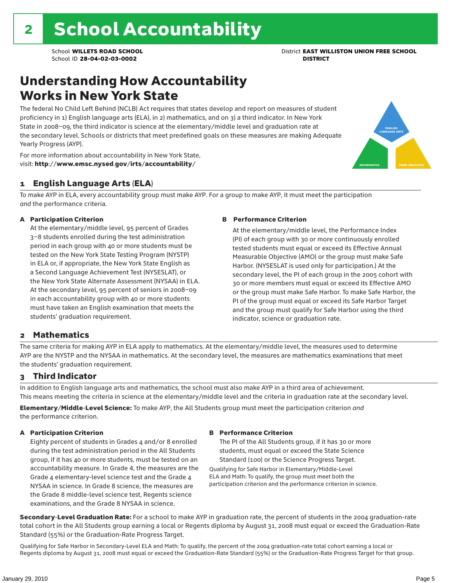### Understanding How Accountability Works in New York State

The federal No Child Left Behind (NCLB) Act requires that states develop and report on measures of student proficiency in 1) English language arts (ELA), in 2) mathematics, and on 3) a third indicator. In New York State in 2008–09, the third indicator is science at the elementary/middle level and graduation rate at the secondary level. Schools or districts that meet predefined goals on these measures are making Adequate Yearly Progress (AYP).



For more information about accountability in New York State, visit: http://www.emsc.nysed.gov/irts/accountability/

### 1 English Language Arts (ELA)

To make AYP in ELA, every accountability group must make AYP. For a group to make AYP, it must meet the participation *and* the performance criteria.

#### A Participation Criterion

At the elementary/middle level, 95 percent of Grades 3–8 students enrolled during the test administration period in each group with 40 or more students must be tested on the New York State Testing Program (NYSTP) in ELA or, if appropriate, the New York State English as a Second Language Achievement Test (NYSESLAT), or the New York State Alternate Assessment (NYSAA) in ELA. At the secondary level, 95 percent of seniors in 2008–09 in each accountability group with 40 or more students must have taken an English examination that meets the students' graduation requirement.

#### B Performance Criterion

At the elementary/middle level, the Performance Index (PI) of each group with 30 or more continuously enrolled tested students must equal or exceed its Effective Annual Measurable Objective (AMO) or the group must make Safe Harbor. (NYSESLAT is used only for participation.) At the secondary level, the PI of each group in the 2005 cohort with 30 or more members must equal or exceed its Effective AMO or the group must make Safe Harbor. To make Safe Harbor, the PI of the group must equal or exceed its Safe Harbor Target and the group must qualify for Safe Harbor using the third indicator, science or graduation rate.

### 2 Mathematics

The same criteria for making AYP in ELA apply to mathematics. At the elementary/middle level, the measures used to determine AYP are the NYSTP and the NYSAA in mathematics. At the secondary level, the measures are mathematics examinations that meet the students' graduation requirement.

### 3 Third Indicator

In addition to English language arts and mathematics, the school must also make AYP in a third area of achievement. This means meeting the criteria in science at the elementary/middle level and the criteria in graduation rate at the secondary level.

Elementary/Middle-Level Science: To make AYP, the All Students group must meet the participation criterion *and* the performance criterion.

#### A Participation Criterion

Eighty percent of students in Grades 4 and/or 8 enrolled during the test administration period in the All Students group, if it has 40 or more students, must be tested on an accountability measure. In Grade 4, the measures are the Grade 4 elementary-level science test and the Grade 4 NYSAA in science. In Grade 8 science, the measures are the Grade 8 middle-level science test, Regents science examinations, and the Grade 8 NYSAA in science.

#### B Performance Criterion

The PI of the All Students group, if it has 30 or more students, must equal or exceed the State Science Standard (100) or the Science Progress Target.

Qualifying for Safe Harbor in Elementary/Middle-Level ELA and Math: To qualify, the group must meet both the participation criterion and the performance criterion in science.

Secondary-Level Graduation Rate: For a school to make AYP in graduation rate, the percent of students in the 2004 graduation-rate total cohort in the All Students group earning a local or Regents diploma by August 31, 2008 must equal or exceed the Graduation-Rate Standard (55%) or the Graduation-Rate Progress Target.

Qualifying for Safe Harbor in Secondary-Level ELA and Math: To qualify, the percent of the 2004 graduation-rate total cohort earning a local or Regents diploma by August 31, 2008 must equal or exceed the Graduation-Rate Standard (55%) or the Graduation-Rate Progress Target for that group.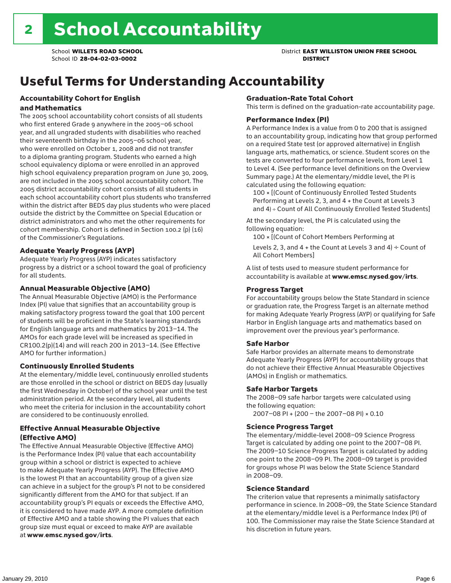# Useful Terms for Understanding Accountability

#### Accountability Cohort for English and Mathematics

The 2005 school accountability cohort consists of all students who first entered Grade 9 anywhere in the 2005–06 school year, and all ungraded students with disabilities who reached their seventeenth birthday in the 2005–06 school year, who were enrolled on October 1, 2008 and did not transfer to a diploma granting program. Students who earned a high school equivalency diploma or were enrolled in an approved high school equivalency preparation program on June 30, 2009, are not included in the 2005 school accountability cohort. The 2005 district accountability cohort consists of all students in each school accountability cohort plus students who transferred within the district after BEDS day plus students who were placed outside the district by the Committee on Special Education or district administrators and who met the other requirements for cohort membership. Cohort is defined in Section 100.2 (p) (16) of the Commissioner's Regulations.

#### Adequate Yearly Progress (AYP)

Adequate Yearly Progress (AYP) indicates satisfactory progress by a district or a school toward the goal of proficiency for all students.

#### Annual Measurable Objective (AMO)

The Annual Measurable Objective (AMO) is the Performance Index (PI) value that signifies that an accountability group is making satisfactory progress toward the goal that 100 percent of students will be proficient in the State's learning standards for English language arts and mathematics by 2013–14. The AMOs for each grade level will be increased as specified in CR100.2(p)(14) and will reach 200 in 2013–14. (See Effective AMO for further information.)

#### Continuously Enrolled Students

At the elementary/middle level, continuously enrolled students are those enrolled in the school or district on BEDS day (usually the first Wednesday in October) of the school year until the test administration period. At the secondary level, all students who meet the criteria for inclusion in the accountability cohort are considered to be continuously enrolled.

#### Effective Annual Measurable Objective (Effective AMO)

The Effective Annual Measurable Objective (Effective AMO) is the Performance Index (PI) value that each accountability group within a school or district is expected to achieve to make Adequate Yearly Progress (AYP). The Effective AMO is the lowest PI that an accountability group of a given size can achieve in a subject for the group's PI not to be considered significantly different from the AMO for that subject. If an accountability group's PI equals or exceeds the Effective AMO, it is considered to have made AYP. A more complete definition of Effective AMO and a table showing the PI values that each group size must equal or exceed to make AYP are available at www.emsc.nysed.gov/irts.

#### Graduation-Rate Total Cohort

This term is defined on the graduation-rate accountability page.

#### Performance Index (PI)

A Performance Index is a value from 0 to 200 that is assigned to an accountability group, indicating how that group performed on a required State test (or approved alternative) in English language arts, mathematics, or science. Student scores on the tests are converted to four performance levels, from Level 1 to Level 4. (See performance level definitions on the Overview Summary page.) At the elementary/middle level, the PI is calculated using the following equation:

100 × [(Count of Continuously Enrolled Tested Students Performing at Levels 2, 3, and 4 + the Count at Levels 3 and 4) ÷ Count of All Continuously Enrolled Tested Students]

At the secondary level, the PI is calculated using the following equation:

100 × [(Count of Cohort Members Performing at

Levels 2, 3, and 4 + the Count at Levels 3 and 4)  $\div$  Count of All Cohort Members]

A list of tests used to measure student performance for accountability is available at www.emsc.nysed.gov/irts.

#### Progress Target

For accountability groups below the State Standard in science or graduation rate, the Progress Target is an alternate method for making Adequate Yearly Progress (AYP) or qualifying for Safe Harbor in English language arts and mathematics based on improvement over the previous year's performance.

#### Safe Harbor

Safe Harbor provides an alternate means to demonstrate Adequate Yearly Progress (AYP) for accountability groups that do not achieve their Effective Annual Measurable Objectives (AMOs) in English or mathematics.

#### Safe Harbor Targets

The 2008–09 safe harbor targets were calculated using the following equation:

2007–08 PI + (200 – the 2007–08 PI) × 0.10

#### Science Progress Target

The elementary/middle-level 2008–09 Science Progress Target is calculated by adding one point to the 2007–08 PI. The 2009–10 Science Progress Target is calculated by adding one point to the 2008–09 PI. The 2008–09 target is provided for groups whose PI was below the State Science Standard in 2008–09.

#### Science Standard

The criterion value that represents a minimally satisfactory performance in science. In 2008–09, the State Science Standard at the elementary/middle level is a Performance Index (PI) of 100. The Commissioner may raise the State Science Standard at his discretion in future years.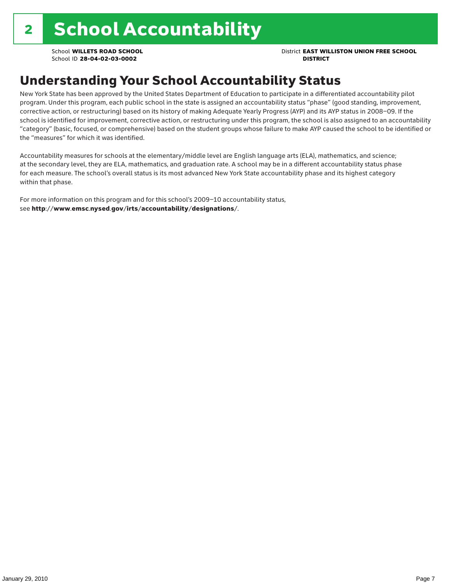School **WILLETS ROAD SCHOOL** District **EAST WILLISTON UNION FREE SCHOOL**

## Understanding Your School Accountability Status

New York State has been approved by the United States Department of Education to participate in a differentiated accountability pilot program. Under this program, each public school in the state is assigned an accountability status "phase" (good standing, improvement, corrective action, or restructuring) based on its history of making Adequate Yearly Progress (AYP) and its AYP status in 2008–09. If the school is identified for improvement, corrective action, or restructuring under this program, the school is also assigned to an accountability "category" (basic, focused, or comprehensive) based on the student groups whose failure to make AYP caused the school to be identified or the "measures" for which it was identified.

Accountability measures for schools at the elementary/middle level are English language arts (ELA), mathematics, and science; at the secondary level, they are ELA, mathematics, and graduation rate. A school may be in a different accountability status phase for each measure. The school's overall status is its most advanced New York State accountability phase and its highest category within that phase.

For more information on this program and for this school's 2009–10 accountability status, see http://www.emsc.nysed.gov/irts/accountability/designations/.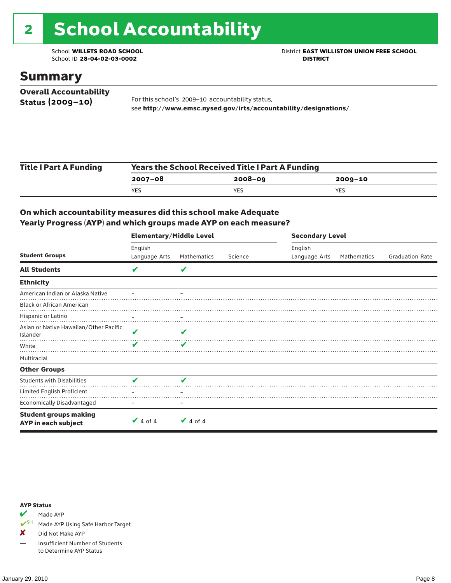# 2 School Accountability

School ID 28-04-02-03-0002

School **WILLETS ROAD SCHOOL**<br>School ID 28-04-02-03-0002<br>**DISTRICT** DISTRICT

### Summary

| <b>Overall Accountability</b> |                                                                  |
|-------------------------------|------------------------------------------------------------------|
| Status $(2009 - 10)$          | For this school's 2009-10 accountability status,                 |
|                               | see http://www.emsc.nysed.gov/irts/accountability/designations/. |

| <b>Title I Part A Funding</b> | Years the School Received Title I Part A Funding |             |             |  |  |  |
|-------------------------------|--------------------------------------------------|-------------|-------------|--|--|--|
|                               | 2007-08                                          | $2008 - 09$ | $2009 - 10$ |  |  |  |
|                               | YES                                              | YES         | YES         |  |  |  |

### On which accountability measures did this school make Adequate Yearly Progress (AYP) and which groups made AYP on each measure?

|                                                     | <b>Elementary/Middle Level</b> |               |         |               | <b>Secondary Level</b> |                        |  |  |
|-----------------------------------------------------|--------------------------------|---------------|---------|---------------|------------------------|------------------------|--|--|
|                                                     | English                        |               |         | English       |                        |                        |  |  |
| <b>Student Groups</b>                               | Language Arts                  | Mathematics   | Science | Language Arts | Mathematics            | <b>Graduation Rate</b> |  |  |
| <b>All Students</b>                                 | V                              | V             |         |               |                        |                        |  |  |
| <b>Ethnicity</b>                                    |                                |               |         |               |                        |                        |  |  |
| American Indian or Alaska Native                    |                                |               |         |               |                        |                        |  |  |
| <b>Black or African American</b>                    |                                |               |         |               |                        |                        |  |  |
| Hispanic or Latino                                  |                                |               |         |               |                        |                        |  |  |
| Asian or Native Hawaiian/Other Pacific<br>Islander  | V                              | V             |         |               |                        |                        |  |  |
| White                                               | ✔                              | ✔             |         |               |                        |                        |  |  |
| Multiracial                                         |                                |               |         |               |                        |                        |  |  |
| <b>Other Groups</b>                                 |                                |               |         |               |                        |                        |  |  |
| <b>Students with Disabilities</b>                   | V                              | V             |         |               |                        |                        |  |  |
| Limited English Proficient                          |                                |               |         |               |                        |                        |  |  |
| <b>Economically Disadvantaged</b>                   |                                |               |         |               |                        |                        |  |  |
| <b>Student groups making</b><br>AYP in each subject | $\vee$ 4 of 4                  | $\vee$ 4 of 4 |         |               |                        |                        |  |  |

#### AYP Status

Made AYP

✔SH Made AYP Using Safe Harbor Target

✘ Did Not Make AYP

— Insufficient Number of Students to Determine AYP Status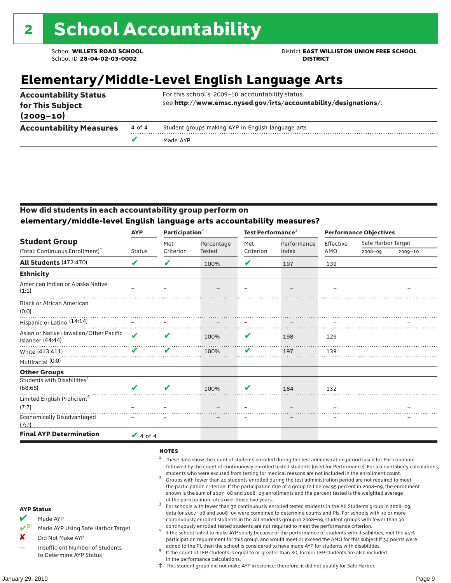School **WILLETS ROAD SCHOOL** District **EAST WILLISTON UNION FREE SCHOOL**

## **Elementary/Middle-Level English Language Arts**

| <b>Accountability Status</b><br>for This Subject<br>$(2009 - 10)$ |        | For this school's 2009-10 accountability status,<br>see http://www.emsc.nysed.gov/irts/accountability/designations/. |
|-------------------------------------------------------------------|--------|----------------------------------------------------------------------------------------------------------------------|
| <b>Accountability Measures</b>                                    | 4 of 4 | Student groups making AYP in English language arts                                                                   |
|                                                                   | Ø      | Made AYP                                                                                                             |

### How did students in each accountability group perform on **elementary/middle-level English language arts accountability measures?**

|                                                            | <b>AYP</b>                 | Participation <sup>2</sup> |               | Test Performance <sup>3</sup> |             | <b>Performance Objectives</b> |                    |             |
|------------------------------------------------------------|----------------------------|----------------------------|---------------|-------------------------------|-------------|-------------------------------|--------------------|-------------|
| <b>Student Group</b>                                       |                            | Met                        | Percentage    | Met                           | Performance | Effective                     | Safe Harbor Target |             |
| (Total: Continuous Enrollment) <sup>1</sup>                | <b>Status</b>              | Criterion                  | <b>Tested</b> | Criterion                     | Index       | AMO                           | $2008 - 09$        | $2009 - 10$ |
| <b>All Students (472:470)</b>                              | V                          | V                          | 100%          | V                             | 197         | 139                           |                    |             |
| <b>Ethnicity</b>                                           |                            |                            |               |                               |             |                               |                    |             |
| American Indian or Alaska Native<br>(1:1)                  |                            |                            |               |                               |             |                               |                    |             |
| <b>Black or African American</b><br>(0:0)                  |                            |                            |               |                               |             |                               |                    |             |
| Hispanic or Latino (14:14)                                 |                            |                            |               |                               |             |                               |                    |             |
| Asian or Native Hawaiian/Other Pacific<br>Islander (44:44) | $\boldsymbol{\mathcal{U}}$ | V                          | 100%          | V                             | 198         | 129                           |                    |             |
| White (413:411)                                            | ✔                          | V                          | 100%          | V                             | 197         | 139                           |                    |             |
| Multiracial (0:0)                                          |                            |                            |               |                               |             |                               |                    |             |
| <b>Other Groups</b>                                        |                            |                            |               |                               |             |                               |                    |             |
| Students with Disabilities <sup>4</sup><br>(68:68)         | ✔                          | V                          | 100%          | V                             | 184         | 132                           |                    |             |
| Limited English Proficient <sup>5</sup>                    |                            |                            |               |                               |             |                               |                    |             |
| (7:7)                                                      |                            |                            |               |                               |             |                               |                    |             |
| <b>Economically Disadvantaged</b><br>(7:7)                 |                            |                            |               |                               |             |                               |                    |             |
| <b>Final AYP Determination</b>                             | $\sqrt{4}$ of 4            |                            |               |                               |             |                               |                    |             |

#### **NOTES**

- <sup>1</sup> These data show the count of students enrolled during the test administration period (used for Participation) followed by the count of continuously enrolled tested students (used for Performance). For accountability calculations,
- students who were excused from testing for medical reasons are not included in the enrollment count. <sup>2</sup> Groups with fewer than 40 students enrolled during the test administration period are not required to meet the participation criterion. If the participation rate of a group fell below 95 percent in 2008–09, the enrollment shown is the sum of 2007–08 and 2008–09 enrollments and the percent tested is the weighted average
- of the participation rates over those two years.<br><sup>3</sup> For schools with fewer than 30 continuously enrolled tested students in the All Students group in 2008–09, data for 2007–08 and 2008–09 were combined to determine counts and PIs. For schools with 30 or more continuously enrolled students in the All Students group in 2008–09, student groups with fewer than 30
- continuously enrolled tested students are not required to meet the performance criterion. <sup>4</sup> If the school failed to make AYP solely because of the performance of students with disabilities, met the 95% participation requirement for this group, and would meet or exceed the AMO for this subject if 34 points were added to the PI, then the school is considered to have made AYP for students with disabilities.
- $5$  If the count of LEP students is equal to or greater than 30, former LEP students are also included in the performance calculations.
- ‡ This student group did not make AYP in science; therefore, it did not qualify for Safe Harbor.

AYP Status  $M$  Made AYP

X Did Not Make AYP

Made AYP Using Safe Harbor Target

Insufficient Number of Students to Determine AYP Status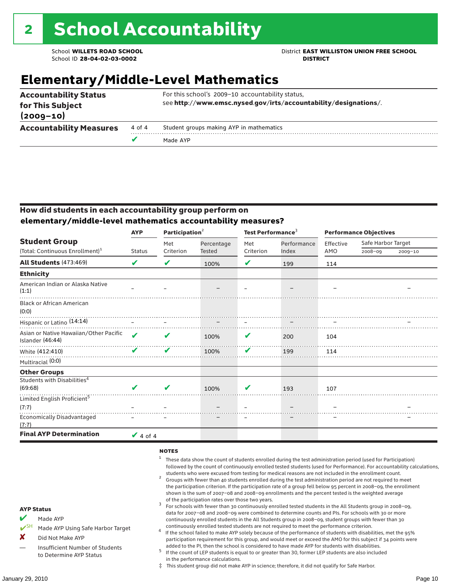School **WILLETS ROAD SCHOOL** District **EAST WILLISTON UNION FREE SCHOOL**

## **Elementary/Middle-Level Mathematics**

| <b>Accountability Status</b><br>for This Subject<br>$(2009 - 10)$ |        | For this school's 2009-10 accountability status,<br>see http://www.emsc.nysed.gov/irts/accountability/designations/. |
|-------------------------------------------------------------------|--------|----------------------------------------------------------------------------------------------------------------------|
| <b>Accountability Measures</b>                                    | 4 of 4 | Student groups making AYP in mathematics                                                                             |
|                                                                   | Ø      | Made AYP                                                                                                             |

### How did students in each accountability group perform on **elementary/middle-level mathematics accountability measures?**

|                                                            | <b>AYP</b>                 |           | Participation <sup>2</sup> |           | Test Performance <sup>3</sup> | <b>Performance Objectives</b> |                    |             |
|------------------------------------------------------------|----------------------------|-----------|----------------------------|-----------|-------------------------------|-------------------------------|--------------------|-------------|
| <b>Student Group</b>                                       |                            | Met       | Percentage                 | Met       | Performance                   | Effective                     | Safe Harbor Target |             |
| (Total: Continuous Enrollment) <sup>1</sup>                | <b>Status</b>              | Criterion | <b>Tested</b>              | Criterion | Index                         | AMO                           | $2008 - 09$        | $2009 - 10$ |
| <b>All Students (473:469)</b>                              | V                          | V         | 100%                       | V         | 199                           | 114                           |                    |             |
| <b>Ethnicity</b>                                           |                            |           |                            |           |                               |                               |                    |             |
| American Indian or Alaska Native<br>(1:1)                  |                            |           |                            |           |                               |                               |                    |             |
| <b>Black or African American</b><br>(0:0)                  |                            |           |                            |           |                               |                               |                    |             |
| Hispanic or Latino (14:14)                                 |                            |           |                            |           |                               |                               |                    |             |
| Asian or Native Hawaiian/Other Pacific<br>Islander (46:44) | $\boldsymbol{\mathcal{L}}$ | V         | 100%                       | V         | 200                           | 104                           |                    |             |
| White (412:410)                                            | ✔                          | ✔         | 100%                       | V         | 199                           | 114                           |                    |             |
| Multiracial (0:0)                                          |                            |           |                            |           |                               |                               |                    |             |
| <b>Other Groups</b>                                        |                            |           |                            |           |                               |                               |                    |             |
| Students with Disabilities <sup>4</sup><br>(69:68)         | V                          | V         | 100%                       | v         | 193                           | 107                           |                    |             |
| Limited English Proficient <sup>5</sup>                    |                            |           |                            |           |                               |                               |                    |             |
| (7:7)                                                      |                            |           |                            |           |                               |                               |                    |             |
| <b>Economically Disadvantaged</b><br>(7:7)                 |                            |           |                            |           |                               |                               |                    |             |
| <b>Final AYP Determination</b>                             | $\vee$ 4 of 4              |           |                            |           |                               |                               |                    |             |

#### **NOTES**

- $1$  These data show the count of students enrolled during the test administration period (used for Participation) followed by the count of continuously enrolled tested students (used for Performance). For accountability calculations,
- students who were excused from testing for medical reasons are not included in the enrollment count. <sup>2</sup> Groups with fewer than 40 students enrolled during the test administration period are not required to meet the participation criterion. If the participation rate of a group fell below 95 percent in 2008–09, the enrollment shown is the sum of 2007–08 and 2008–09 enrollments and the percent tested is the weighted average
- of the participation rates over those two years.<br><sup>3</sup> For schools with fewer than 30 continuously enrolled tested students in the All Students group in 2008–09, data for 2007–08 and 2008–09 were combined to determine counts and PIs. For schools with 30 or more continuously enrolled students in the All Students group in 2008–09, student groups with fewer than 30
- continuously enrolled tested students are not required to meet the performance criterion. <sup>4</sup> If the school failed to make AYP solely because of the performance of students with disabilities, met the 95% participation requirement for this group, and would meet or exceed the AMO for this subject if 34 points were added to the PI, then the school is considered to have made AYP for students with disabilities.
- $5$  If the count of LEP students is equal to or greater than 30, former LEP students are also included in the performance calculations.
- ‡ This student group did not make AYP in science; therefore, it did not qualify for Safe Harbor.
- Made AYP
	- Made AYP Using Safe Harbor Target
- X Did Not Make AYP
- Insufficient Number of Students to Determine AYP Status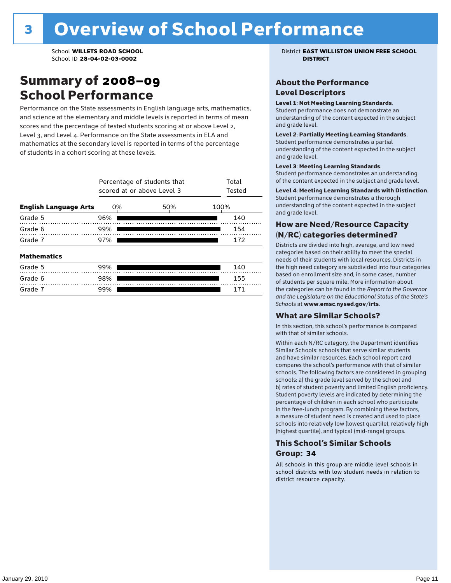### Summary of 2008–09 School Performance

Performance on the State assessments in English language arts, mathematics, and science at the elementary and middle levels is reported in terms of mean scores and the percentage of tested students scoring at or above Level 2, Level 3, and Level 4. Performance on the State assessments in ELA and mathematics at the secondary level is reported in terms of the percentage of students in a cohort scoring at these levels.

|                              | Percentage of students that<br>scored at or above Level 3 | Total<br>Tested |      |
|------------------------------|-----------------------------------------------------------|-----------------|------|
| <b>English Language Arts</b> | 0%                                                        | 50%             | 100% |
| Grade 5                      | 96%                                                       |                 | 140  |
| Grade 6                      | 99%                                                       |                 | 154  |
| Grade 7                      | 97%                                                       | 172             |      |
| <b>Mathematics</b>           |                                                           |                 |      |
| Grade 5                      | 99%                                                       |                 | 140  |
| Grade 6                      | 98%                                                       |                 | 155  |
| Grade 7                      | 99%                                                       |                 | 171  |

School **WILLETS ROAD SCHOOL** District **EAST WILLISTON UNION FREE SCHOOL**

### About the Performance Level Descriptors

#### Level 1: Not Meeting Learning Standards.

Student performance does not demonstrate an understanding of the content expected in the subject and grade level.

#### Level 2: Partially Meeting Learning Standards.

Student performance demonstrates a partial understanding of the content expected in the subject and grade level.

#### Level 3: Meeting Learning Standards.

Student performance demonstrates an understanding of the content expected in the subject and grade level.

#### Level 4: Meeting Learning Standards with Distinction.

Student performance demonstrates a thorough understanding of the content expected in the subject and grade level.

#### How are Need/Resource Capacity (N/RC) categories determined?

Districts are divided into high, average, and low need categories based on their ability to meet the special needs of their students with local resources. Districts in the high need category are subdivided into four categories based on enrollment size and, in some cases, number of students per square mile. More information about the categories can be found in the *Report to the Governor and the Legislature on the Educational Status of the State's Schools* at www.emsc.nysed.gov/irts.

#### What are Similar Schools?

In this section, this school's performance is compared with that of similar schools.

Within each N/RC category, the Department identifies Similar Schools: schools that serve similar students and have similar resources. Each school report card compares the school's performance with that of similar schools. The following factors are considered in grouping schools: a) the grade level served by the school and b) rates of student poverty and limited English proficiency. Student poverty levels are indicated by determining the percentage of children in each school who participate in the free-lunch program. By combining these factors, a measure of student need is created and used to place schools into relatively low (lowest quartile), relatively high (highest quartile), and typical (mid-range) groups.

### This School's Similar Schools Group: **34**

All schools in this group are middle level schools in school districts with low student needs in relation to district resource capacity.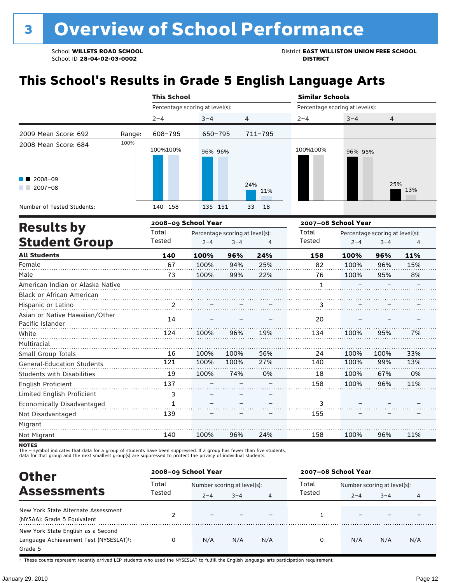# **This School's Results in Grade 5 English Language Arts**

|                                                                   |        | <b>This School</b>              |         |                |                                 | <b>Similar Schools</b> |            |  |  |
|-------------------------------------------------------------------|--------|---------------------------------|---------|----------------|---------------------------------|------------------------|------------|--|--|
|                                                                   |        | Percentage scoring at level(s): |         |                | Percentage scoring at level(s): |                        |            |  |  |
|                                                                   |        | $2 - 4$                         | $3 - 4$ | $\overline{4}$ | $2 - 4$                         | $3 - 4$                | 4          |  |  |
| 2009 Mean Score: 692                                              | Range: | 608-795                         | 650-795 | 711-795        |                                 |                        |            |  |  |
| 2008 Mean Score: 684<br>$\blacksquare$ 2008-09<br>2007-08<br>a ka | 100%   | 100%100%                        | 96% 96% | 24%<br>11%     | 100%100%                        | 96% 95%                | 25%<br>13% |  |  |
| Number of Tested Students:                                        |        | 140 158                         | 135 151 | 33<br>18       |                                 |                        |            |  |  |
| Deedle ku                                                         |        | 2008-09 School Year             |         |                |                                 | 2007-08 School Year    |            |  |  |

| <b>Results by</b>                 |                | 2008–09 School Year |                                 |     | 2007–08 School Year |         |                                 |     |
|-----------------------------------|----------------|---------------------|---------------------------------|-----|---------------------|---------|---------------------------------|-----|
|                                   | Total          |                     | Percentage scoring at level(s): |     | Total               |         | Percentage scoring at level(s): |     |
| <b>Student Group</b>              | Tested         | $2 - 4$             | $3 - 4$                         | 4   | Tested              | $2 - 4$ | $3 - 4$                         | 4   |
| <b>All Students</b>               | 140            | 100%                | 96%                             | 24% | 158                 | 100%    | 96%                             | 11% |
| Female                            | 67             | 100%                | 94%                             | 25% | 82                  | 100%    | 96%                             | 15% |
| Male                              | 73             | 100%                | 99%                             | 22% | 76                  | 100%    | 95%                             | 8%  |
| American Indian or Alaska Native  |                |                     |                                 |     | 1                   |         |                                 |     |
| <b>Black or African American</b>  |                |                     |                                 |     |                     |         |                                 |     |
| Hispanic or Latino                | $\overline{2}$ |                     |                                 |     | 3                   |         |                                 |     |
| Asian or Native Hawaiian/Other    | 14             |                     |                                 |     | 20                  |         |                                 |     |
| Pacific Islander                  |                |                     |                                 |     |                     |         |                                 |     |
| White                             | 124            | 100%                | 96%                             | 19% | 134                 | 100%    | 95%                             | 7%  |
| Multiracial                       |                |                     |                                 |     |                     |         |                                 |     |
| Small Group Totals                | 16             | 100%                | 100%                            | 56% | 24                  | 100%    | 100%                            | 33% |
| <b>General-Education Students</b> | 121            | 100%                | 100%                            | 27% | 140                 | 100%    | 99%                             | 13% |
| <b>Students with Disabilities</b> | 19             | 100%                | 74%                             | 0%  | 18                  | 100%    | 67%                             | 0%  |
| <b>English Proficient</b>         | 137            |                     |                                 |     | 158                 | 100%    | 96%                             | 11% |
| Limited English Proficient        | 3              |                     |                                 |     |                     |         |                                 |     |
| Economically Disadvantaged        | 1              |                     |                                 |     | 3                   |         |                                 |     |
| Not Disadvantaged                 | 139            |                     |                                 |     | 155                 |         |                                 |     |
| Migrant                           |                |                     |                                 |     |                     |         |                                 |     |
| Not Migrant                       | 140            | 100%                | 96%                             | 24% | 158                 | 100%    | 96%                             | 11% |

**NOTES** 

The – symbol indicates that data for a group of students have been suppressed. If a group has fewer than five students,<br>data for that group and the next smallest group(s) are suppressed to protect the privacy of individual

| <b>Other</b>                                                                                         | 2008-09 School Year |                             |         |                | 2007-08 School Year |                             |         |     |
|------------------------------------------------------------------------------------------------------|---------------------|-----------------------------|---------|----------------|---------------------|-----------------------------|---------|-----|
| <b>Assessments</b>                                                                                   | Total               | Number scoring at level(s): |         |                | Total               | Number scoring at level(s): |         |     |
|                                                                                                      | Tested              | $2 - 4$                     | $3 - 4$ | $\overline{4}$ | Tested              | $2 - 4$                     | $3 - 4$ | 4   |
| New York State Alternate Assessment<br>(NYSAA): Grade 5 Equivalent                                   |                     |                             |         |                |                     |                             |         |     |
| New York State English as a Second<br>Language Achievement Test (NYSESLAT) <sup>+</sup> :<br>Grade 5 |                     | N/A                         | N/A     | N/A            | O                   | N/A                         | N/A     | N/A |

† These counts represent recently arrived LEP students who used the NYSESLAT to fulfill the English language arts participation requirement.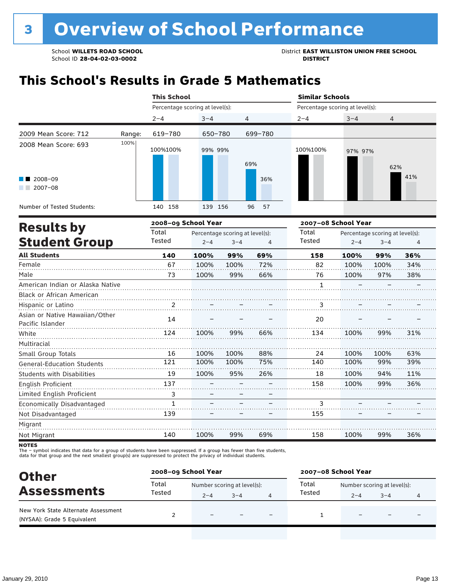# **This School's Results in Grade 5 Mathematics**

|                                  |        | <b>This School</b>              |                                 |         |          |                                 | <b>Similar Schools</b>          |                |     |  |  |
|----------------------------------|--------|---------------------------------|---------------------------------|---------|----------|---------------------------------|---------------------------------|----------------|-----|--|--|
|                                  |        | Percentage scoring at level(s): |                                 |         |          | Percentage scoring at level(s): |                                 |                |     |  |  |
|                                  |        | $2 - 4$                         | $3 - 4$                         | 4       |          | $2 - 4$                         | $3 - 4$                         | $\overline{4}$ |     |  |  |
| 2009 Mean Score: 712             | Range: | 619-780                         | 650-780                         |         | 699-780  |                                 |                                 |                |     |  |  |
| 2008 Mean Score: 693             | 100%   | 100%100%                        | 99% 99%                         |         | 69%      | 100%100%                        | 97% 97%                         | 62%            |     |  |  |
| 2008-09<br>$2007 - 08$           |        |                                 |                                 |         | 36%      |                                 |                                 |                | 41% |  |  |
| Number of Tested Students:       |        | 140 158                         | 139 156                         |         | 96<br>57 |                                 |                                 |                |     |  |  |
|                                  |        | 2008-09 School Year             |                                 |         |          | 2007-08 School Year             |                                 |                |     |  |  |
| <b>Results by</b>                |        | Total                           | Percentage scoring at level(s): |         |          | Total                           | Percentage scoring at level(s): |                |     |  |  |
| <b>Student Group</b>             |        | Tested                          | $2 - 4$                         | $3 - 4$ | 4        | Tested                          | $2 - 4$                         | $3 - 4$        | 4   |  |  |
| <b>All Students</b>              |        | 140                             | 100%                            | 99%     | 69%      | 158                             | 100%                            | 99%            | 36% |  |  |
| Female                           |        | 67                              | 100%                            | 100%    | 72%      | 82                              | 100%                            | 100%           | 34% |  |  |
| Male                             |        | 73                              | 100%                            | 99%     | 66%      | 76                              | 100%                            | 97%            | 38% |  |  |
| American Indian or Alaska Native |        |                                 |                                 |         |          | 1                               |                                 |                |     |  |  |
| <b>Black or African American</b> |        |                                 |                                 |         |          |                                 |                                 |                |     |  |  |
| Hispanic or Latino               |        | 2                               |                                 |         |          | 3                               |                                 |                |     |  |  |

| <b>Black or African American</b>  |     |      |      |     |     |      |      |     |
|-----------------------------------|-----|------|------|-----|-----|------|------|-----|
| Hispanic or Latino                |     |      |      |     | 3   |      |      |     |
| Asian or Native Hawaiian/Other    | 14  |      |      |     | 20  |      |      |     |
| Pacific Islander                  |     |      |      |     |     |      |      |     |
| White                             | 124 | 100% | 99%  | 66% | 134 | 100% | 99%  | 31% |
| Multiracial                       |     |      |      |     |     |      |      |     |
| Small Group Totals                | 16  | 100% | 100% | 88% | 24  | 100% | 100% | 63% |
| <b>General-Education Students</b> | 121 | 100% | 100% | 75% | 140 | 100% | 99%  | 39% |
| <b>Students with Disabilities</b> | 19  | 100% | 95%  | 26% | 18  | 100% | 94%  | 11% |
| English Proficient                | 137 |      |      |     | 158 | 100% | 99%  | 36% |
| Limited English Proficient        | 3   |      |      |     |     |      |      |     |
| Economically Disadvantaged        | 1   |      |      |     | 3   |      |      |     |
| Not Disadvantaged                 | 139 |      |      |     | 155 |      |      |     |
| Migrant                           |     |      |      |     |     |      |      |     |
| Not Migrant                       | 140 | 100% | 99%  | 69% | 158 | 100% | 99%  | 36% |

**NOTES** 

The – symbol indicates that data for a group of students have been suppressed. If a group has fewer than five students,<br>data for that group and the next smallest group(s) are suppressed to protect the privacy of individual

| <b>Other</b>                                                       | 2008-09 School Year |                             |         |                          | 2007-08 School Year |                             |                          |   |
|--------------------------------------------------------------------|---------------------|-----------------------------|---------|--------------------------|---------------------|-----------------------------|--------------------------|---|
| <b>Assessments</b>                                                 | Total               | Number scoring at level(s): |         |                          | Total               | Number scoring at level(s): |                          |   |
|                                                                    | Tested              | $2 - 4$                     | $3 - 4$ |                          | Tested              | $2 - 4$                     | $3 - 4$                  | 4 |
| New York State Alternate Assessment<br>(NYSAA): Grade 5 Equivalent |                     | $\overline{\phantom{0}}$    |         | $\overline{\phantom{0}}$ |                     | -                           | $\overline{\phantom{0}}$ |   |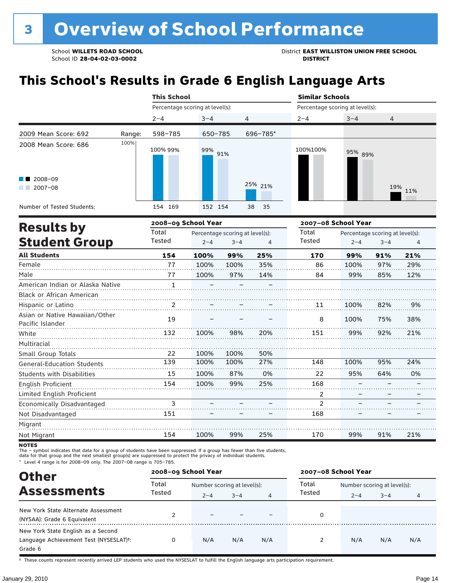School ID 28-04-02-03-0002

School **WILLETS ROAD SCHOOL**<br>School ID 28-04-02-03-0002<br>**DISTRICT** DISTRICT

# **This School's Results in Grade 6 English Language Arts**

|                                                                     |        | <b>This School</b>              |            |          | <b>Similar Schools</b>                                                                                                                             |         |                |  |  |
|---------------------------------------------------------------------|--------|---------------------------------|------------|----------|----------------------------------------------------------------------------------------------------------------------------------------------------|---------|----------------|--|--|
|                                                                     |        | Percentage scoring at level(s): |            |          | Percentage scoring at level(s):                                                                                                                    |         |                |  |  |
|                                                                     |        | $2 - 4$                         | $3 - 4$    | 4        | $2 - 4$                                                                                                                                            | $3 - 4$ | $\overline{4}$ |  |  |
| 2009 Mean Score: 692                                                | Range: | 598-785                         | 650-785    | 696-785* |                                                                                                                                                    |         |                |  |  |
| 2008 Mean Score: 686<br>$\blacksquare$ 2008-09<br>2007-08<br>a sa B | 100%   | 100% 99%                        | 99%<br>91% | 25% 21%  | 100%100%                                                                                                                                           | 95% 89% | 19% 11%        |  |  |
| Number of Tested Students:                                          |        | 154 169                         | 152 154    | 38<br>35 |                                                                                                                                                    |         |                |  |  |
|                                                                     |        |                                 |            |          | $\mathbf{a} = \mathbf{a} \cdot \mathbf{a}$ $\mathbf{b}$ $\mathbf{c}$ $\mathbf{b}$ $\mathbf{c}$ $\mathbf{b}$ $\mathbf{b}$ $\mathbf{c}$ $\mathbf{c}$ |         |                |  |  |

|                                                    |                | 2008-09 School Year |                                 |     |                | 2007-08 School Year |                                 |     |  |
|----------------------------------------------------|----------------|---------------------|---------------------------------|-----|----------------|---------------------|---------------------------------|-----|--|
| <b>Results by</b>                                  | Total          |                     | Percentage scoring at level(s): |     | Total          |                     | Percentage scoring at level(s): |     |  |
| <b>Student Group</b>                               | Tested         | $2 - 4$             | $3 - 4$                         | 4   | Tested         | $2 - 4$             | $3 - 4$                         | 4   |  |
| <b>All Students</b>                                | 154            | 100%                | 99%                             | 25% | 170            | 99%                 | 91%                             | 21% |  |
| Female                                             | 77             | 100%                | 100%                            | 35% | 86             | 100%                | 97%                             | 29% |  |
| Male                                               | 77             | 100%                | 97%                             | 14% | 84             | 99%                 | 85%                             | 12% |  |
| American Indian or Alaska Native                   | $\mathbf{1}$   |                     |                                 |     |                |                     |                                 |     |  |
| <b>Black or African American</b>                   |                |                     |                                 |     |                |                     |                                 |     |  |
| Hispanic or Latino                                 | $\overline{2}$ |                     |                                 |     | 11             | 100%                | 82%                             | 9%  |  |
| Asian or Native Hawaiian/Other<br>Pacific Islander | 19             |                     |                                 |     | 8              | 100%                | 75%                             | 38% |  |
| White                                              | 132            | 100%                | 98%                             | 20% | 151            | 99%                 | 92%                             | 21% |  |
| Multiracial                                        |                |                     |                                 |     |                |                     |                                 |     |  |
| Small Group Totals                                 | 22             | 100%                | 100%                            | 50% |                |                     |                                 |     |  |
| <b>General-Education Students</b>                  | 139            | 100%                | 100%                            | 27% | 148            | 100%                | 95%                             | 24% |  |
| <b>Students with Disabilities</b>                  | 15             | 100%                | 87%                             | 0%  | 22             | 95%                 | 64%                             | 0%  |  |
| English Proficient                                 | 154            | 100%                | 99%                             | 25% | 168            |                     |                                 |     |  |
| Limited English Proficient                         |                |                     |                                 |     | 2              |                     |                                 |     |  |
| Economically Disadvantaged                         | 3              |                     |                                 |     | $\overline{2}$ |                     |                                 |     |  |
| Not Disadvantaged                                  | 151            |                     |                                 |     | 168            |                     |                                 |     |  |
| Migrant                                            |                |                     |                                 |     |                |                     |                                 |     |  |
| Not Migrant                                        | 154            | 100%                | 99%                             | 25% | 170            | 99%                 | 91%                             | 21% |  |

**NOTES** 

The – symbol indicates that data for a group of students have been suppressed. If a group has fewer than five students,<br>data for that group and the next smallest group(s) are suppressed to protect the privacy of individual

\* Level 4 range is for 2008–09 only. The 2007–08 range is 705–785.

| <b>Other</b>                                                                                         |        | 2008-09 School Year      |                             |                | 2007-08 School Year |                             |         |     |  |
|------------------------------------------------------------------------------------------------------|--------|--------------------------|-----------------------------|----------------|---------------------|-----------------------------|---------|-----|--|
| <b>Assessments</b>                                                                                   | Total  |                          | Number scoring at level(s): |                |                     | Number scoring at level(s): |         |     |  |
|                                                                                                      | Tested | $2 - 4$                  | $3 - 4$                     | $\overline{4}$ | Tested              | $2 - 4$                     | $3 - 4$ | 4   |  |
| New York State Alternate Assessment<br>(NYSAA): Grade 6 Equivalent                                   |        | $\overline{\phantom{0}}$ |                             |                |                     |                             |         |     |  |
| New York State English as a Second<br>Language Achievement Test (NYSESLAT) <sup>+</sup> :<br>Grade 6 | 0      | N/A                      | N/A                         | N/A            |                     | N/A                         | N/A     | N/A |  |

† These counts represent recently arrived LEP students who used the NYSESLAT to fulfill the English language arts participation requirement.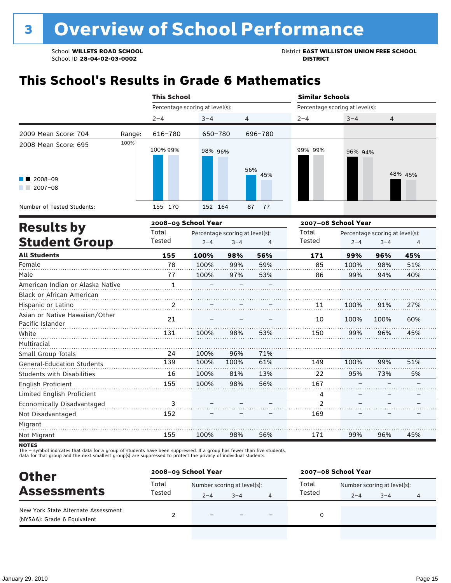# **This School's Results in Grade 6 Mathematics**

|                                                               |        | <b>This School</b>  |                                 |            | <b>Similar Schools</b> |                                 |                                 |  |  |
|---------------------------------------------------------------|--------|---------------------|---------------------------------|------------|------------------------|---------------------------------|---------------------------------|--|--|
|                                                               |        |                     | Percentage scoring at level(s): |            |                        | Percentage scoring at level(s): |                                 |  |  |
|                                                               |        | $2 - 4$             | $3 - 4$                         | 4          | $2 - 4$                | $3 - 4$                         | 4                               |  |  |
| 2009 Mean Score: 704                                          | Range: | 616-780             | 650-780                         | 696-780    |                        |                                 |                                 |  |  |
| 2008 Mean Score: 695<br>$\blacksquare$ 2008-09<br>$2007 - 08$ | 100%   | 100% 99%            | 98% 96%                         | 56%<br>45% | 99% 99%                | 96% 94%                         | 48% 45%                         |  |  |
| Number of Tested Students:                                    |        | 155 170             | 152 164                         | 87<br>- 77 |                        |                                 |                                 |  |  |
| <b>Results by</b>                                             |        | 2008-09 School Year |                                 |            | 2007-08 School Year    |                                 |                                 |  |  |
|                                                               |        | Total               | Percentage scoring at level(s). |            | Total                  |                                 | Percentage scoring at level(s). |  |  |

| <b>RESULLS DY</b>                                  | Total  | Percentage scoring at level(s): |         |     | Total          | Percentage scoring at level(s): |         |     |  |
|----------------------------------------------------|--------|---------------------------------|---------|-----|----------------|---------------------------------|---------|-----|--|
| <b>Student Group</b>                               | Tested | $2 - 4$                         | $3 - 4$ | 4   | Tested         | $2 - 4$                         | $3 - 4$ | 4   |  |
| <b>All Students</b>                                | 155    | 100%                            | 98%     | 56% | 171            | 99%                             | 96%     | 45% |  |
| Female                                             | 78     | 100%                            | 99%     | 59% | 85             | 100%                            | 98%     | 51% |  |
| Male                                               | 77     | 100%                            | 97%     | 53% | 86             | 99%                             | 94%     | 40% |  |
| American Indian or Alaska Native                   | 1      |                                 |         |     |                |                                 |         |     |  |
| Black or African American                          |        |                                 |         |     |                |                                 |         |     |  |
| Hispanic or Latino                                 | 2      |                                 |         |     | 11             | 100%                            | 91%     | 27% |  |
| Asian or Native Hawaiian/Other<br>Pacific Islander | 21     |                                 |         |     | 10             | 100%                            | 100%    | 60% |  |
| White                                              | 131    | 100%                            | 98%     | 53% | 150            | 99%                             | 96%     | 45% |  |
| Multiracial                                        |        |                                 |         |     |                |                                 |         |     |  |
| Small Group Totals                                 | 24     | 100%                            | 96%     | 71% |                |                                 |         |     |  |
| <b>General-Education Students</b>                  | 139    | 100%                            | 100%    | 61% | 149            | 100%                            | 99%     | 51% |  |
| <b>Students with Disabilities</b>                  | 16     | 100%                            | 81%     | 13% | 22             | 95%                             | 73%     | 5%  |  |
| English Proficient                                 | 155    | 100%                            | 98%     | 56% | 167            |                                 |         |     |  |
| Limited English Proficient                         |        |                                 |         |     | 4              |                                 |         |     |  |
| Economically Disadvantaged                         | 3      |                                 |         |     | $\mathfrak{p}$ |                                 |         |     |  |
| Not Disadvantaged                                  | 152    |                                 |         |     | 169            |                                 |         |     |  |
| Migrant                                            |        |                                 |         |     |                |                                 |         |     |  |
| Not Migrant                                        | 155    | 100%                            | 98%     | 56% | 171            | 99%                             | 96%     | 45% |  |

**NOTES** 

The – symbol indicates that data for a group of students have been suppressed. If a group has fewer than five students,<br>data for that group and the next smallest group(s) are suppressed to protect the privacy of individual

| <b>Other</b>                                                       | 2008-09 School Year |                             |         |                          | 2007-08 School Year |                             |         |   |  |
|--------------------------------------------------------------------|---------------------|-----------------------------|---------|--------------------------|---------------------|-----------------------------|---------|---|--|
|                                                                    | Total               | Number scoring at level(s): |         |                          | Total               | Number scoring at level(s): |         |   |  |
| <b>Assessments</b>                                                 | Tested              | $2 - 4$                     | $3 - 4$ | 4                        | Tested              | $2 - 4$                     | $3 - 4$ | 4 |  |
| New York State Alternate Assessment<br>(NYSAA): Grade 6 Equivalent |                     | $\overline{\phantom{0}}$    |         | $\overline{\phantom{0}}$ | 0                   |                             |         |   |  |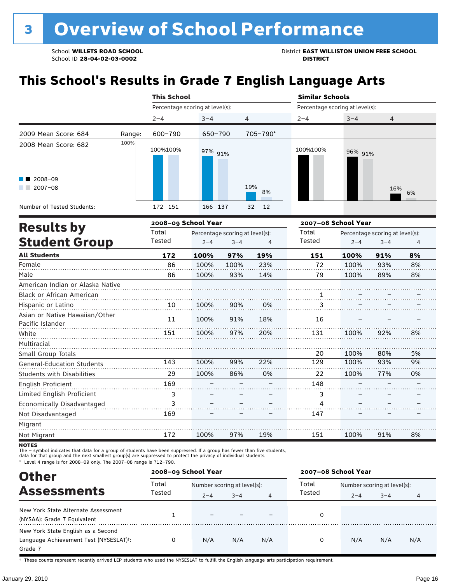School ID 28-04-02-03-0002

School **WILLETS ROAD SCHOOL**<br>School ID 28-04-02-03-0002<br>**DISTRICT** DISTRICT

# **This School's Results in Grade 7 English Language Arts**

|                                       |        | <b>This School</b> |                                 |                                 | <b>Similar Schools</b>          |                                 |         |                 |  |  |
|---------------------------------------|--------|--------------------|---------------------------------|---------------------------------|---------------------------------|---------------------------------|---------|-----------------|--|--|
|                                       |        |                    | Percentage scoring at level(s): |                                 | Percentage scoring at level(s): |                                 |         |                 |  |  |
|                                       |        | $2 - 4$            | $3 - 4$                         | 4                               | $2 - 4$                         | $3 - 4$                         | 4       |                 |  |  |
| 2009 Mean Score: 684                  | Range: | 600-790            | 650-790                         | 705-790*                        |                                 |                                 |         |                 |  |  |
| 2008 Mean Score: 682                  | 100%   | 100%100%           | 97% 91%                         |                                 | 100%100%                        | 96% 91%                         |         |                 |  |  |
| $\blacksquare$ 2008-09<br>$2007 - 08$ |        |                    |                                 | 19%<br>8%                       |                                 |                                 | 16%     | 6%              |  |  |
| Number of Tested Students:            |        | 172 151            | 166<br>137                      | 32<br>12                        |                                 |                                 |         |                 |  |  |
|                                       |        |                    | 2008-09 School Year             |                                 | 2007-08 School Year             |                                 |         |                 |  |  |
| <b>Results by</b>                     |        | Total              |                                 | Percentage scoring at level(s): |                                 | Percentage scoring at level(s): |         |                 |  |  |
| <b>Student Group</b>                  |        | Tested             | $2 - 4$                         | $3 - 4$<br>4                    | Tested                          | $2 - 4$                         | $3 - 4$ | $\overline{4}$  |  |  |
| <b>All Students</b>                   |        | 172                | 100%<br>97%                     | 19%                             | 151                             | 100%                            | 91%     | 8%              |  |  |
| $F$ amala                             |        | 0C                 | 10001<br>10001                  | 2201                            | $\overline{\phantom{a}}$        | 10001                           | 0.201   | 00 <sup>2</sup> |  |  |

| Female                            | 86  | 100% | 100% | 23% | 72  | 100% | 93% | 8% |
|-----------------------------------|-----|------|------|-----|-----|------|-----|----|
| Male                              | 86  | 100% | 93%  | 14% | 79  | 100% | 89% | 8% |
| American Indian or Alaska Native  |     |      |      |     |     |      |     |    |
| Black or African American         |     |      |      |     |     |      |     |    |
| Hispanic or Latino                | 10  | 100% | 90%  | 0%  | З   |      |     |    |
| Asian or Native Hawaiian/Other    | 11  | 100% | 91%  | 18% | 16  |      |     |    |
| Pacific Islander                  |     |      |      |     |     |      |     |    |
| White                             | 151 | 100% | 97%  | 20% | 131 | 100% | 92% | 8% |
| Multiracial                       |     |      |      |     |     |      |     |    |
| Small Group Totals                |     |      |      |     | 20  | 100% | 80% | 5% |
| <b>General-Education Students</b> | 143 | 100% | 99%  | 22% | 129 | 100% | 93% | 9% |
| <b>Students with Disabilities</b> | 29  | 100% | 86%  | 0%  | 22  | 100% | 77% | 0% |
| English Proficient                | 169 |      |      |     | 148 |      |     |    |
| Limited English Proficient        | 3   |      |      |     | 3   |      |     |    |
| Economically Disadvantaged        | 3   |      |      |     | 4   |      |     |    |
| Not Disadvantaged                 | 169 |      |      |     | 147 |      |     |    |
| Migrant                           |     |      |      |     |     |      |     |    |
| Not Migrant                       | 172 | 100% | 97%  | 19% | 151 | 100% | 91% | 8% |

**NOTES** 

The – symbol indicates that data for a group of students have been suppressed. If a group has fewer than five students,<br>data for that group and the next smallest group(s) are suppressed to protect the privacy of individual

\* Level 4 range is for 2008–09 only. The 2007–08 range is 712–790.

| <b>Other</b>                                                                                         |          | 2008-09 School Year         |         |     | 2007-08 School Year |                             |         |     |  |
|------------------------------------------------------------------------------------------------------|----------|-----------------------------|---------|-----|---------------------|-----------------------------|---------|-----|--|
|                                                                                                      | Total    | Number scoring at level(s): |         |     | Total               | Number scoring at level(s): |         |     |  |
| <b>Assessments</b>                                                                                   | Tested   | $2 - 4$                     | $3 - 4$ | 4   | Tested              | $2 - 4$                     | $3 - 4$ | 4   |  |
| New York State Alternate Assessment<br>(NYSAA): Grade 7 Equivalent                                   |          |                             |         |     |                     |                             |         |     |  |
| New York State English as a Second<br>Language Achievement Test (NYSESLAT) <sup>+</sup> :<br>Grade 7 | $\Omega$ | N/A                         | N/A     | N/A | 0                   | N/A                         | N/A     | N/A |  |

† These counts represent recently arrived LEP students who used the NYSESLAT to fulfill the English language arts participation requirement.